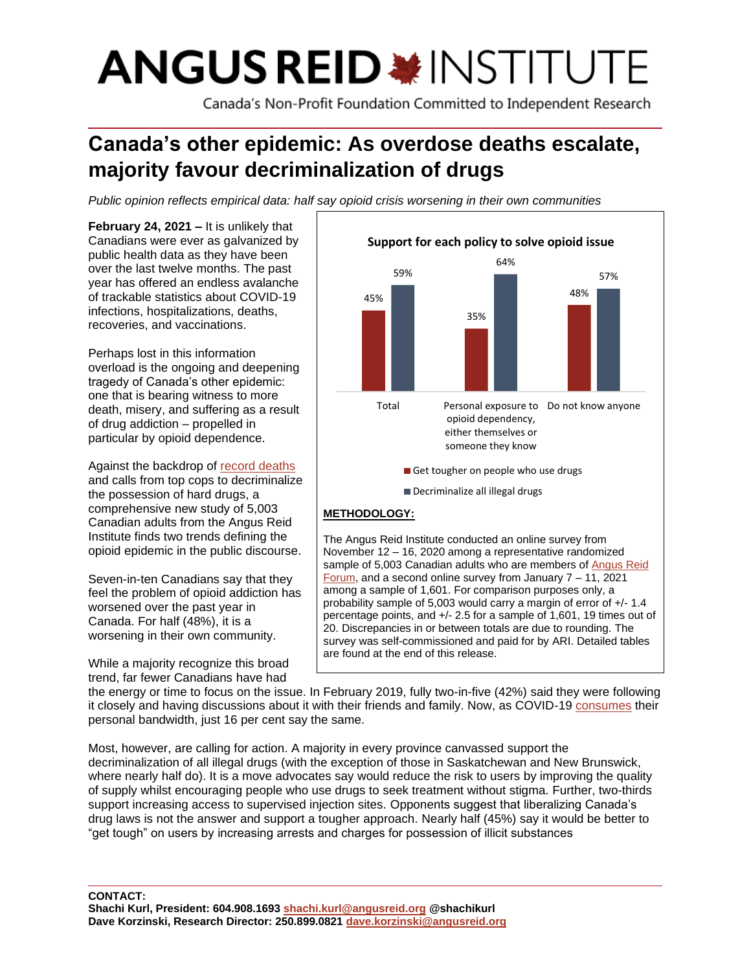# **ANGUS REID \*INSTITUTE**

Canada's Non-Profit Foundation Committed to Independent Research

## **Canada's other epidemic: As overdose deaths escalate, majority favour decriminalization of drugs**

*Public opinion reflects empirical data: half say opioid crisis worsening in their own communities* 

**February 24, 2021 –** It is unlikely that Canadians were ever as galvanized by public health data as they have been over the last twelve months. The past year has offered an endless avalanche of trackable statistics about COVID-19 infections, hospitalizations, deaths, recoveries, and vaccinations.

Perhaps lost in this information overload is the ongoing and deepening tragedy of Canada's other epidemic: one that is bearing witness to more death, misery, and suffering as a result of drug addiction – propelled in particular by opioid dependence.

Against the backdrop of [record deaths](https://toronto.ctvnews.ca/toronto-sets-grim-new-record-for-suspected-opioid-overdose-deaths-in-a-month-1.5307889) and calls from top cops to decriminalize the possession of hard drugs, a comprehensive new study of 5,003 Canadian adults from the Angus Reid Institute finds two trends defining the opioid epidemic in the public discourse.

Seven-in-ten Canadians say that they feel the problem of opioid addiction has worsened over the past year in Canada. For half (48%), it is a worsening in their own community.

While a majority recognize this broad trend, far fewer Canadians have had



probability sample of 5,003 would carry a margin of error of +/- 1.4 percentage points, and +/- 2.5 for a sample of 1,601, 19 times out of 20. Discrepancies in or between totals are due to rounding. The survey was self-commissioned and paid for by ARI. Detailed tables are found at the end of this release.

the energy or time to focus on the issue. In February 2019, fully two-in-five (42%) said they were following it closely and having discussions about it with their friends and family. Now, as COVID-19 [consumes](http://angusreid.org/federal-politics-january-2021/) their personal bandwidth, just 16 per cent say the same.

Most, however, are calling for action. A majority in every province canvassed support the decriminalization of all illegal drugs (with the exception of those in Saskatchewan and New Brunswick, where nearly half do). It is a move advocates say would reduce the risk to users by improving the quality of supply whilst encouraging people who use drugs to seek treatment without stigma. Further, two-thirds support increasing access to supervised injection sites. Opponents suggest that liberalizing Canada's drug laws is not the answer and support a tougher approach. Nearly half (45%) say it would be better to "get tough" on users by increasing arrests and charges for possession of illicit substances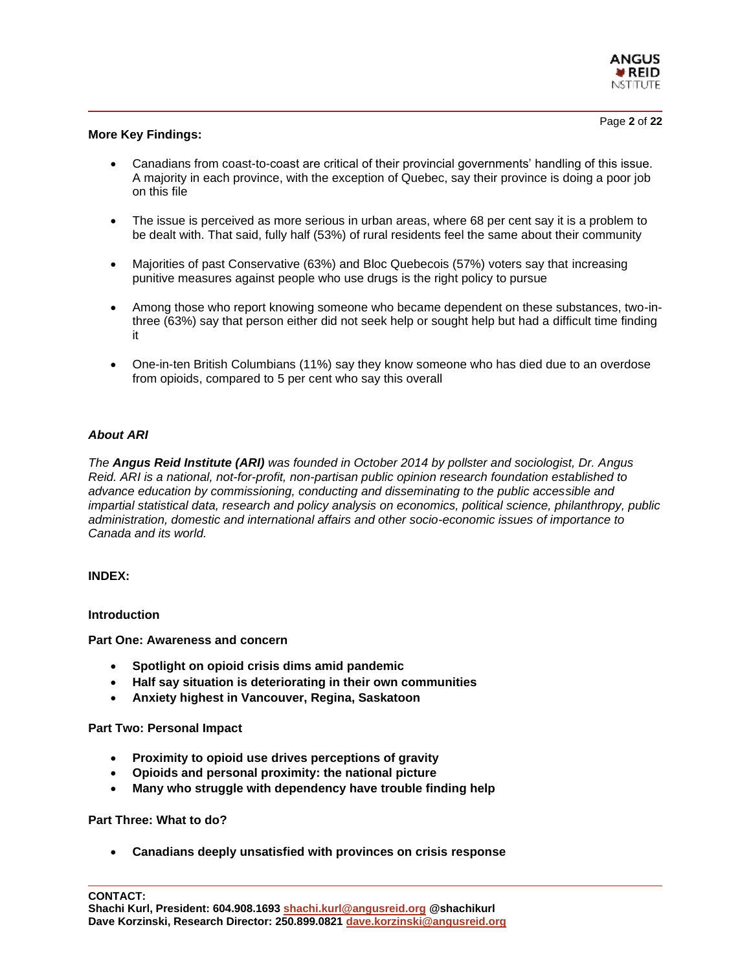

#### **More Key Findings:**

- Canadians from coast-to-coast are critical of their provincial governments' handling of this issue. A majority in each province, with the exception of Quebec, say their province is doing a poor job on this file
- The issue is perceived as more serious in urban areas, where 68 per cent say it is a problem to be dealt with. That said, fully half (53%) of rural residents feel the same about their community
- Majorities of past Conservative (63%) and Bloc Quebecois (57%) voters say that increasing punitive measures against people who use drugs is the right policy to pursue
- Among those who report knowing someone who became dependent on these substances, two-inthree (63%) say that person either did not seek help or sought help but had a difficult time finding it
- One-in-ten British Columbians (11%) say they know someone who has died due to an overdose from opioids, compared to 5 per cent who say this overall

#### *About ARI*

*The Angus Reid Institute (ARI) was founded in October 2014 by pollster and sociologist, Dr. Angus Reid. ARI is a national, not-for-profit, non-partisan public opinion research foundation established to advance education by commissioning, conducting and disseminating to the public accessible and impartial statistical data, research and policy analysis on economics, political science, philanthropy, public administration, domestic and international affairs and other socio-economic issues of importance to Canada and its world.*

#### **INDEX:**

#### **Introduction**

**Part One: Awareness and concern**

- **Spotlight on opioid crisis dims amid pandemic**
- **Half say situation is deteriorating in their own communities**
- **Anxiety highest in Vancouver, Regina, Saskatoon**

#### **Part Two: Personal Impact**

- **Proximity to opioid use drives perceptions of gravity**
- **Opioids and personal proximity: the national picture**
- **Many who struggle with dependency have trouble finding help**

**Part Three: What to do?**

• **Canadians deeply unsatisfied with provinces on crisis response**

**CONTACT: Shachi Kurl, President: 604.908.1693 [shachi.kurl@angusreid.org](mailto:shachi.kurl@angusreid.org) @shachikurl Dave Korzinski, Research Director: 250.899.0821 [dave.korzinski@angusreid.org](mailto:dave.korzinski@angusreid.org)**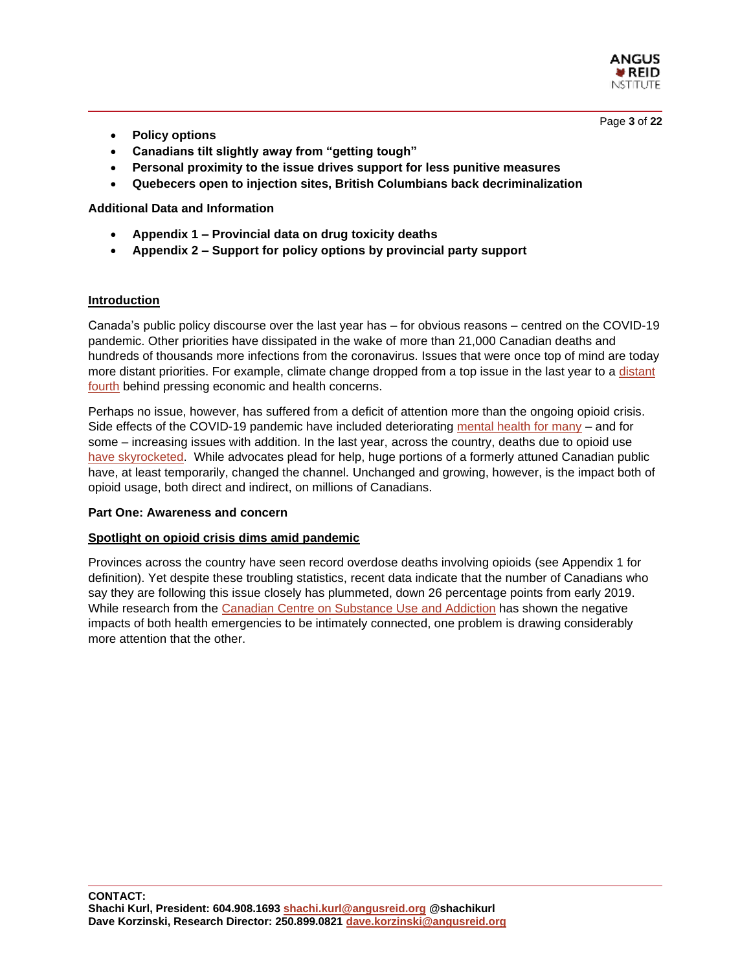

Page **3** of **22**

- **Policy options**
- **Canadians tilt slightly away from "getting tough"**
- **Personal proximity to the issue drives support for less punitive measures**
- **Quebecers open to injection sites, British Columbians back decriminalization**

**Additional Data and Information**

- **Appendix 1 – Provincial data on drug toxicity deaths**
- **Appendix 2 – Support for policy options by provincial party support**

#### **Introduction**

Canada's public policy discourse over the last year has – for obvious reasons – centred on the COVID-19 pandemic. Other priorities have dissipated in the wake of more than 21,000 Canadian deaths and hundreds of thousands more infections from the coronavirus. Issues that were once top of mind are today more [distant](http://angusreid.org/federal-politics-january-2021/) priorities. For example, climate change dropped from a top issue in the last year to a distant [fourth](http://angusreid.org/federal-politics-january-2021/) behind pressing economic and health concerns.

Perhaps no issue, however, has suffered from a deficit of attention more than the ongoing opioid crisis. Side effects of the COVID-19 pandemic have included deteriorating [mental health for many](https://angusreid.org/covid19-mental-health/) – and for some – increasing issues with addition. In the last year, across the country, deaths due to opioid use [have skyrocketed.](https://www.ctvnews.ca/health/pandemic-aggravates-opioid-crisis-as-overdoses-rise-and-services-fall-out-of-reach-1.5189677) While advocates plead for help, huge portions of a formerly attuned Canadian public have, at least temporarily, changed the channel. Unchanged and growing, however, is the impact both of opioid usage, both direct and indirect, on millions of Canadians.

#### **Part One: Awareness and concern**

#### **Spotlight on opioid crisis dims amid pandemic**

Provinces across the country have seen record overdose deaths involving opioids (see Appendix 1 for definition). Yet despite these troubling statistics, recent data indicate that the number of Canadians who say they are following this issue closely has plummeted, down 26 percentage points from early 2019. While research from the [Canadian Centre on Substance Use](https://www.ccsa.ca/sites/default/files/2020-07/CCSA-COVID-19-Impacts-on-People-Who-Use-Substances-Report-2020-en.pdf) and Addiction has shown the negative impacts of both health emergencies to be intimately connected, one problem is drawing considerably more attention that the other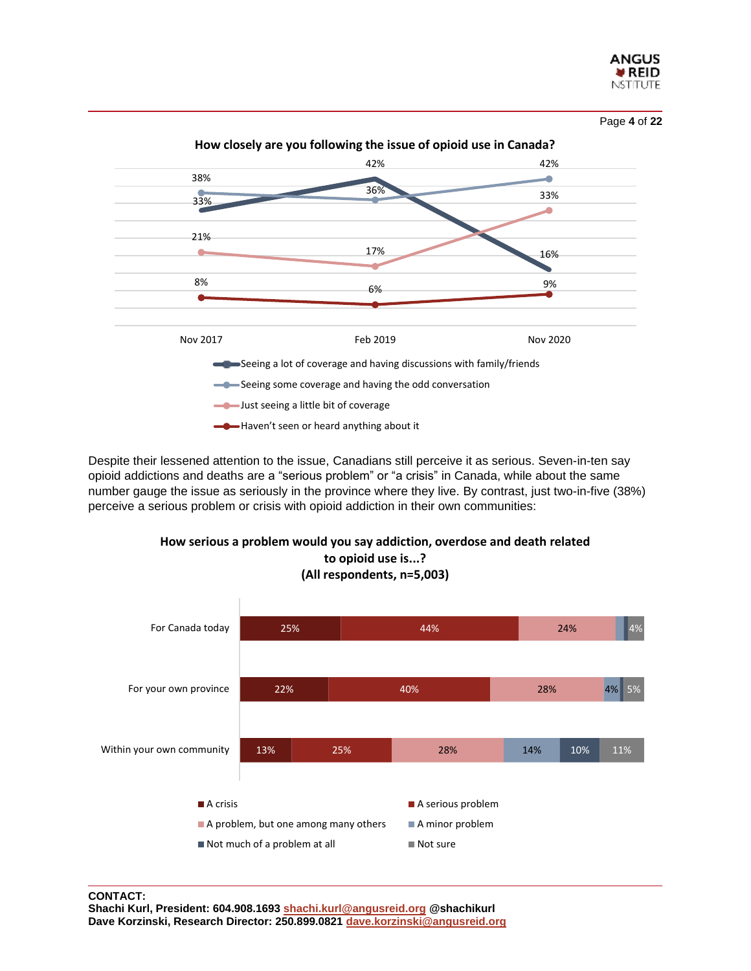



Despite their lessened attention to the issue, Canadians still perceive it as serious. Seven-in-ten say opioid addictions and deaths are a "serious problem" or "a crisis" in Canada, while about the same number gauge the issue as seriously in the province where they live. By contrast, just two-in-five (38%) perceive a serious problem or crisis with opioid addiction in their own communities:



#### **CONTACT: Shachi Kurl, President: 604.908.1693 [shachi.kurl@angusreid.org](mailto:shachi.kurl@angusreid.org) @shachikurl Dave Korzinski, Research Director: 250.899.0821 [dave.korzinski@angusreid.org](mailto:dave.korzinski@angusreid.org)**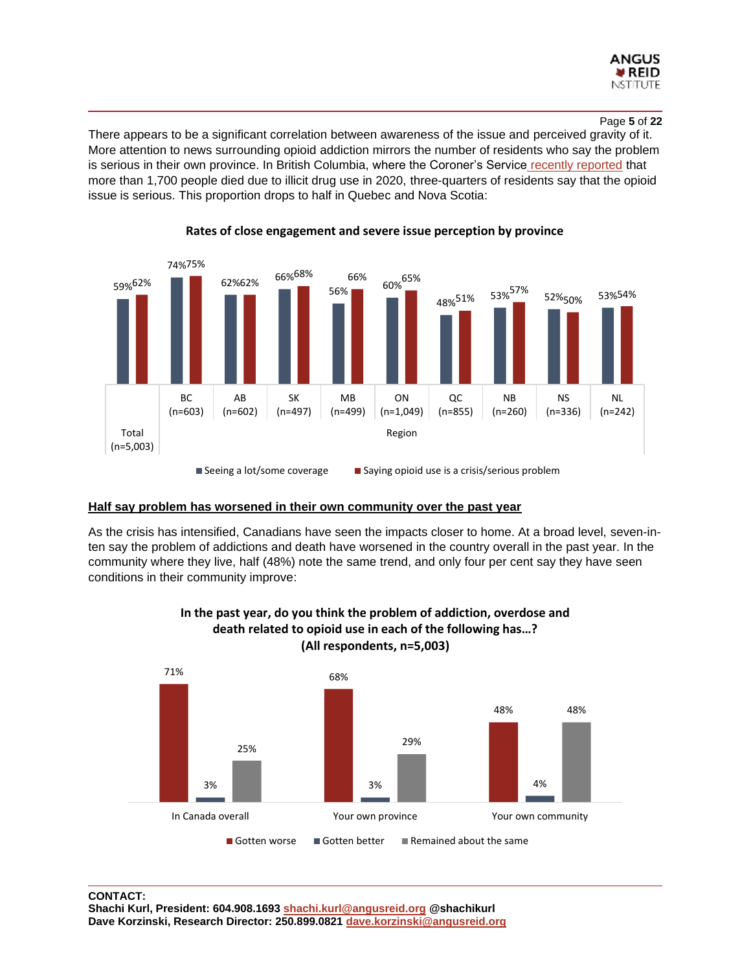

#### Page **5** of **22**

There appears to be a significant correlation between awareness of the issue and perceived gravity of it. More attention to news surrounding opioid addiction mirrors the number of residents who say the problem is serious in their own province. In British Columbia, where the Coroner's Service [recently reported](https://www.cbc.ca/news/canada/british-columbia/2020-drug-overdose-deaths-bc-coroners-service-1.5910325) that more than 1,700 people died due to illicit drug use in 2020, three-quarters of residents say that the opioid issue is serious. This proportion drops to half in Quebec and Nova Scotia:



#### **Rates of close engagement and severe issue perception by province**

#### **Half say problem has worsened in their own community over the past year**

As the crisis has intensified, Canadians have seen the impacts closer to home. At a broad level, seven-inten say the problem of addictions and death have worsened in the country overall in the past year. In the community where they live, half (48%) note the same trend, and only four per cent say they have seen conditions in their community improve:



**In the past year, do you think the problem of addiction, overdose and death related to opioid use in each of the following has…? (All respondents, n=5,003)**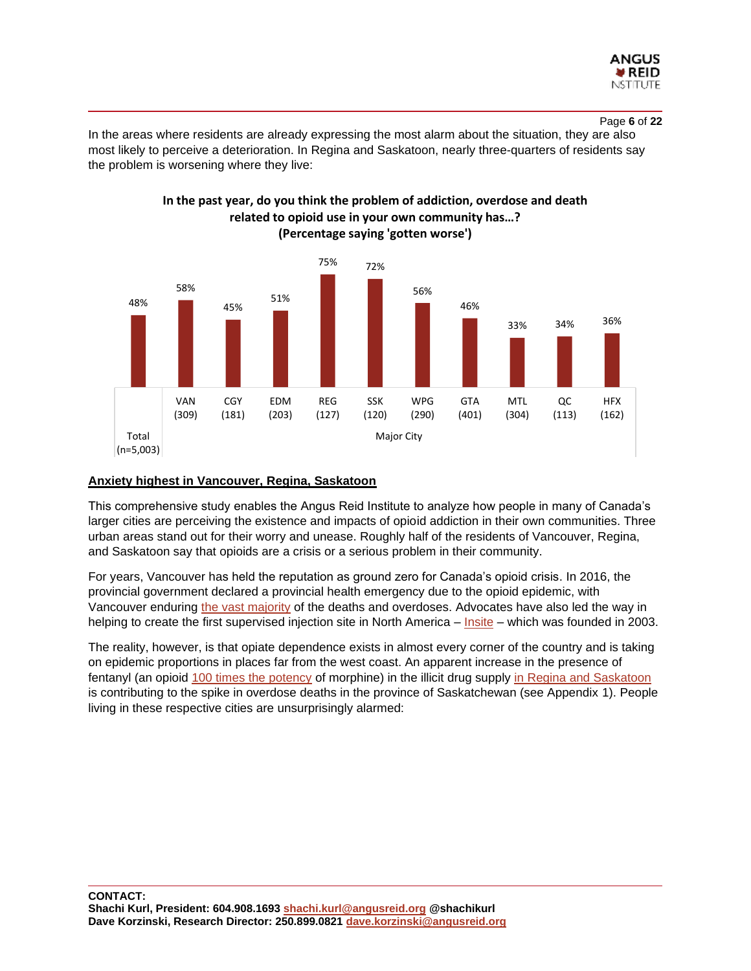

Page **6** of **22**

In the areas where residents are already expressing the most alarm about the situation, they are also most likely to perceive a deterioration. In Regina and Saskatoon, nearly three-quarters of residents say the problem is worsening where they live:



**In the past year, do you think the problem of addiction, overdose and death related to opioid use in your own community has…?**

#### **Anxiety highest in Vancouver, Regina, Saskatoon**

This comprehensive study enables the Angus Reid Institute to analyze how people in many of Canada's larger cities are perceiving the existence and impacts of opioid addiction in their own communities. Three urban areas stand out for their worry and unease. Roughly half of the residents of Vancouver, Regina, and Saskatoon say that opioids are a crisis or a serious problem in their community.

For years, Vancouver has held the reputation as ground zero for Canada's opioid crisis. In 2016, the provincial government declared a provincial health emergency due to the opioid epidemic, with Vancouver enduring [the vast majority](http://www.vch.ca/Documents/CMHO-report.pdf) of the deaths and overdoses. Advocates have also led the way in helping to create the first supervised injection site in North America – [Insite](https://en.wikipedia.org/wiki/Insite#:~:text=Insite%20is%20the%20first%20legal,an%20%22injection%20drug%20epidemic%22.) – which was founded in 2003.

The reality, however, is that opiate dependence exists in almost every corner of the country and is taking on epidemic proportions in places far from the west coast. An apparent increase in the presence of fentanyl (an opioid [100 times the potency](https://www.canada.ca/en/health-canada/services/substance-use/controlled-illegal-drugs/fentanyl.html) of morphine) in the illicit drug supply [in Regina and Saskatoon](https://thestarphoenix.com/news/saskatchewan/a-bad-day-for-saskatchewan-overdose-crisis-continues-to-worsen) is contributing to the spike in overdose deaths in the province of Saskatchewan (see Appendix 1). People living in these respective cities are unsurprisingly alarmed: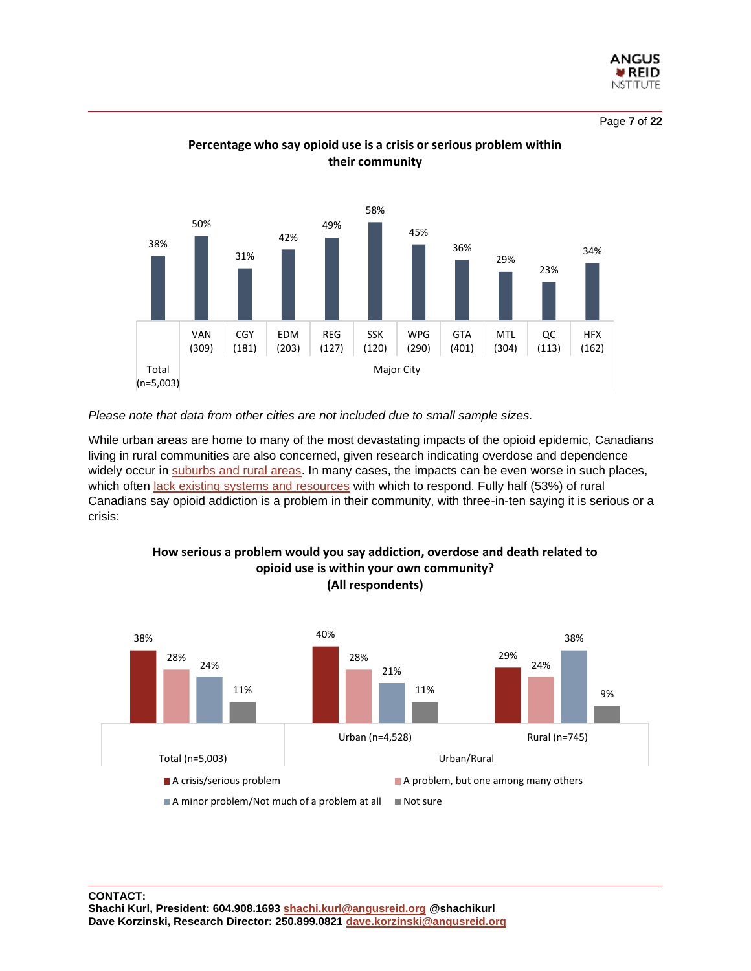

Page **7** of **22**

38% 50% 31% 42% 49% 58% 45% 36% 29% 23% 34% VAN (309) **CGY** (181) EDM (203) REG (127) SSK (120) **WPG** (290) GTA (401) MTL (304) QC (113) HFX (162) Total  $(n=5,003)$ Major City

#### **Percentage who say opioid use is a crisis or serious problem within their community**

#### *Please note that data from other cities are not included due to small sample sizes.*

While urban areas are home to many of the most devastating impacts of the opioid epidemic, Canadians living in rural communities are also concerned, given research indicating overdose and dependence widely occur in [suburbs and rural areas.](https://www.ctvnews.ca/health/it-is-everybody-increasing-number-of-opioid-related-deaths-in-suburbs-rural-areas-1.4223571) In many cases, the impacts can be even worse in such places, which often [lack existing systems and resources](https://www.macleans.ca/killing-rural-canada/) with which to respond. Fully half (53%) of rural Canadians say opioid addiction is a problem in their community, with three-in-ten saying it is serious or a crisis:





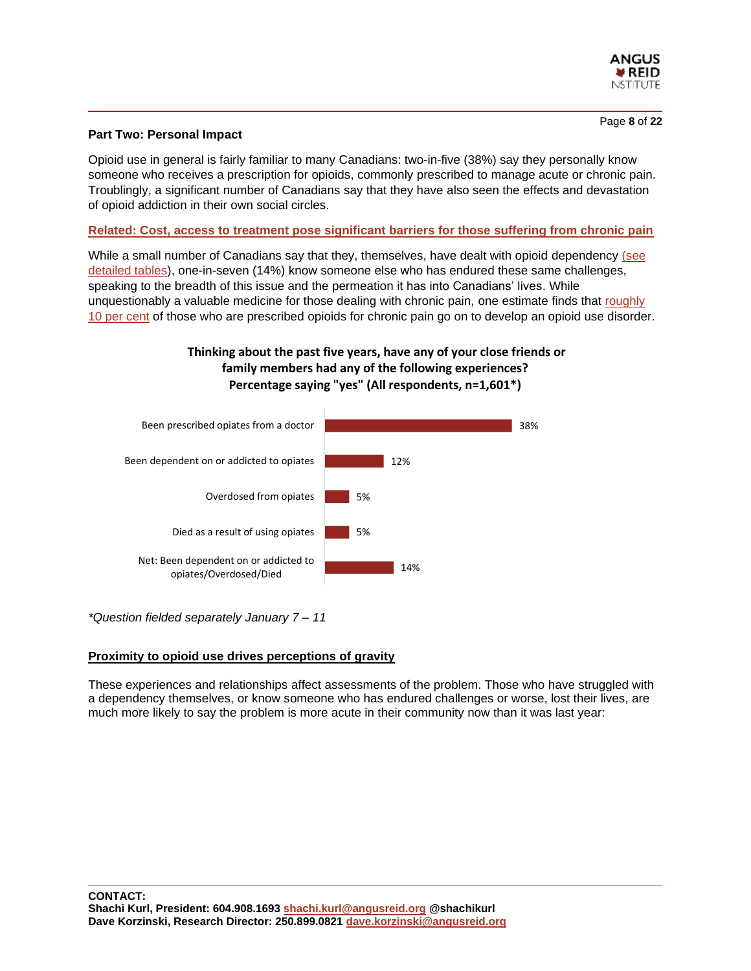

#### **Part Two: Personal Impact**

Opioid use in general is fairly familiar to many Canadians: two-in-five (38%) say they personally know someone who receives a prescription for opioids, commonly prescribed to manage acute or chronic pain. Troublingly, a significant number of Canadians say that they have also seen the effects and devastation of opioid addiction in their own social circles.

**[Related: Cost, access to treatment pose significant barriers for those suffering from chronic pain](http://angusreid.org/chronic-pain-in-canada/)**

While a small number of Canadians say that they, themselves, have dealt with opioid dependency (see [detailed tables\)](https://angusreid.org/wp-content/uploads/2021/02/2021.02.23_Opioids_PRTables_Demos.pdf), one-in-seven (14%) know someone else who has endured these same challenges, speaking to the breadth of this issue and the permeation it has into Canadians' lives. While unquestionably a valuable medicine for those dealing with chronic pain, one estimate finds that [roughly](https://www.drugabuse.gov/drug-topics/opioids/opioid-overdose-crisis)  [10 per cent](https://www.drugabuse.gov/drug-topics/opioids/opioid-overdose-crisis) of those who are prescribed opioids for chronic pain go on to develop an opioid use disorder.

#### **Thinking about the past five years, have any of your close friends or family members had any of the following experiences? Percentage saying "yes" (All respondents, n=1,601\*)**



*\*Question fielded separately January 7 – 11* 

#### **Proximity to opioid use drives perceptions of gravity**

These experiences and relationships affect assessments of the problem. Those who have struggled with a dependency themselves, or know someone who has endured challenges or worse, lost their lives, are much more likely to say the problem is more acute in their community now than it was last year: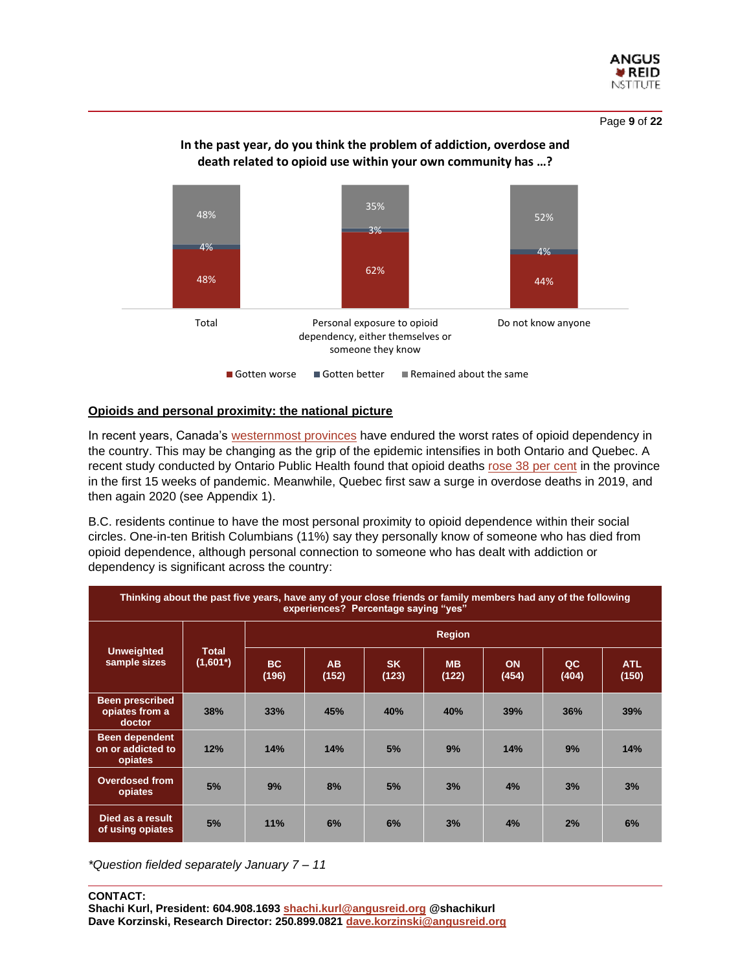

Page **9** of **22**



#### **In the past year, do you think the problem of addiction, overdose and death related to opioid use within your own community has …?**

**Opioids and personal proximity: the national picture** 

In recent years, Canada's [westernmost provinces](https://health-infobase.canada.ca/substance-related-harms/opioids-stimulants/) have endured the worst rates of opioid dependency in the country. This may be changing as the grip of the epidemic intensifies in both Ontario and Quebec. A recent study conducted by Ontario Public Health found that opioid deaths [rose 38 per cent](https://www.cbc.ca/news/canada/thunder-bay/opioids-pandemic-1.5829316) in the province in the first 15 weeks of pandemic. Meanwhile, Quebec first saw a surge in overdose deaths in 2019, and then again 2020 (see Appendix 1).

Gotten worse  $\Box$  Gotten better  $\Box$  Remained about the same

B.C. residents continue to have the most personal proximity to opioid dependence within their social circles. One-in-ten British Columbians (11%) say they personally know of someone who has died from opioid dependence, although personal connection to someone who has dealt with addiction or dependency is significant across the country:

| Thinking about the past five years, have any of your close friends or family members had any of the following<br>experiences? Percentage saying "yes" |                             |              |                    |                    |                    |                    |             |                     |
|-------------------------------------------------------------------------------------------------------------------------------------------------------|-----------------------------|--------------|--------------------|--------------------|--------------------|--------------------|-------------|---------------------|
| <b>Unweighted</b><br>sample sizes                                                                                                                     | <b>Total</b><br>$(1,601^*)$ |              | <b>Region</b>      |                    |                    |                    |             |                     |
|                                                                                                                                                       |                             | BC.<br>(196) | <b>AB</b><br>(152) | <b>SK</b><br>(123) | <b>MB</b><br>(122) | <b>ON</b><br>(454) | QC<br>(404) | <b>ATL</b><br>(150) |
| <b>Been prescribed</b><br>opiates from a<br>doctor                                                                                                    | 38%                         | 33%          | 45%                | 40%                | 40%                | 39%                | 36%         | 39%                 |
| <b>Been dependent</b><br>on or addicted to<br>opiates                                                                                                 | 12%                         | 14%          | 14%                | 5%                 | 9%                 | 14%                | 9%          | 14%                 |
| <b>Overdosed from</b><br>opiates                                                                                                                      | 5%                          | 9%           | 8%                 | 5%                 | 3%                 | 4%                 | 3%          | 3%                  |
| Died as a result<br>of using opiates                                                                                                                  | 5%                          | 11%          | 6%                 | 6%                 | 3%                 | 4%                 | 2%          | 6%                  |

*\*Question fielded separately January 7 – 11*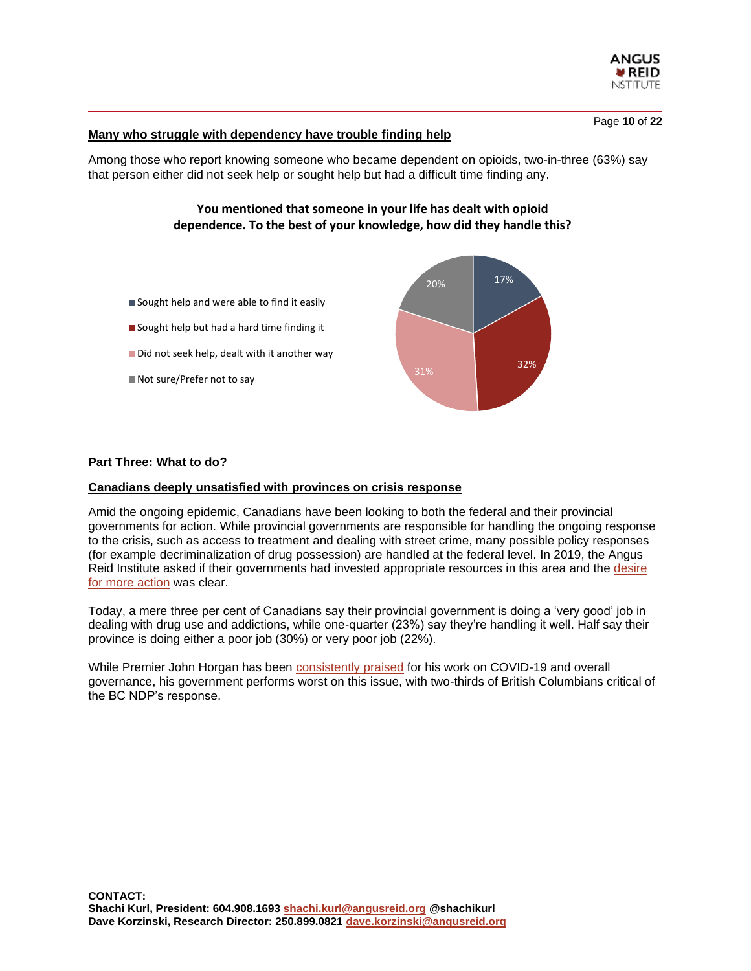

Page **10** of **22**

#### **Many who struggle with dependency have trouble finding help**

Among those who report knowing someone who became dependent on opioids, two-in-three (63%) say that person either did not seek help or sought help but had a difficult time finding any.

#### **You mentioned that someone in your life has dealt with opioid dependence. To the best of your knowledge, how did they handle this?**



#### **Part Three: What to do?**

#### **Canadians deeply unsatisfied with provinces on crisis response**

Amid the ongoing epidemic, Canadians have been looking to both the federal and their provincial governments for action. While provincial governments are responsible for handling the ongoing response to the crisis, such as access to treatment and dealing with street crime, many possible policy responses (for example decriminalization of drug possession) are handled at the federal level. In 2019, the Angus Reid Institute asked if their governments had invested appropriate resources in this area and the [desire](http://angusreid.org/opioid-crisis-2019/)  [for more action](http://angusreid.org/opioid-crisis-2019/) was clear.

Today, a mere three per cent of Canadians say their provincial government is doing a 'very good' job in dealing with drug use and addictions, while one-quarter (23%) say they're handling it well. Half say their province is doing either a poor job (30%) or very poor job (22%).

While Premier John Horgan has been [consistently praised](http://angusreid.org/premier-approval-december2020/) for his work on COVID-19 and overall governance, his government performs worst on this issue, with two-thirds of British Columbians critical of the BC NDP's response.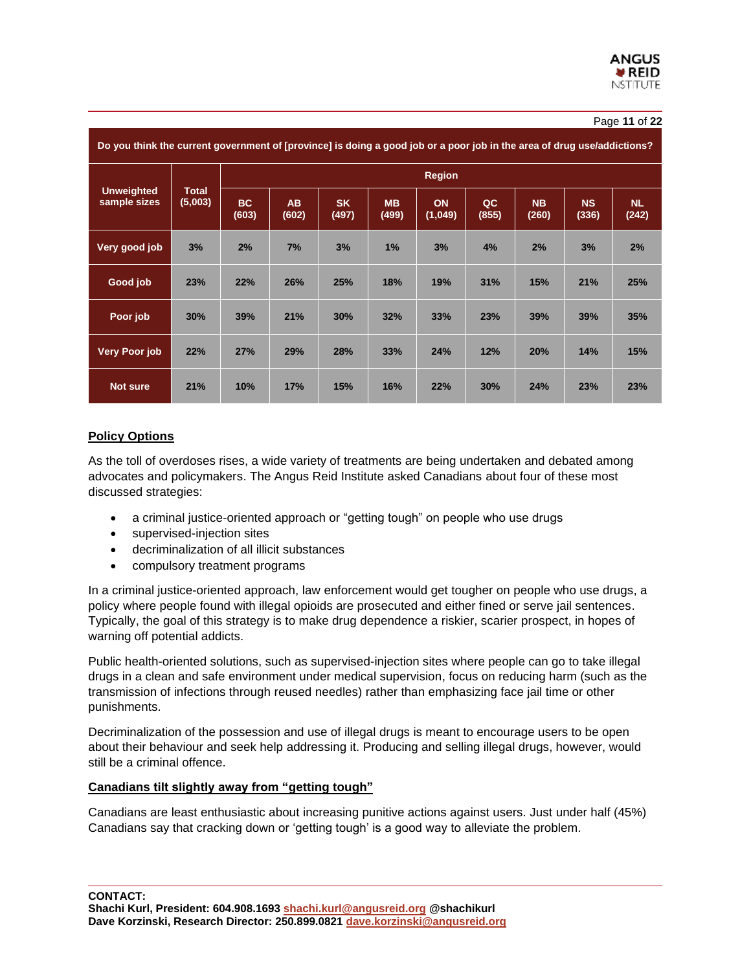#### Page **11** of **22**

| Do you think the current government of [province] is doing a good job or a poor job in the area of drug use/addictions? |                         |                    |                    |                    |                    |                      |             |                    |                    |                    |
|-------------------------------------------------------------------------------------------------------------------------|-------------------------|--------------------|--------------------|--------------------|--------------------|----------------------|-------------|--------------------|--------------------|--------------------|
| <b>Unweighted</b><br>sample sizes                                                                                       | <b>Total</b><br>(5,003) | <b>Region</b>      |                    |                    |                    |                      |             |                    |                    |                    |
|                                                                                                                         |                         | <b>BC</b><br>(603) | <b>AB</b><br>(602) | <b>SK</b><br>(497) | <b>MB</b><br>(499) | <b>ON</b><br>(1,049) | QC<br>(855) | <b>NB</b><br>(260) | <b>NS</b><br>(336) | <b>NL</b><br>(242) |
| Very good job                                                                                                           | 3%                      | 2%                 | 7%                 | 3%                 | 1%                 | 3%                   | 4%          | 2%                 | 3%                 | 2%                 |
| Good job                                                                                                                | 23%                     | 22%                | 26%                | 25%                | 18%                | 19%                  | 31%         | 15%                | 21%                | 25%                |
| Poor job                                                                                                                | 30%                     | 39%                | 21%                | 30%                | 32%                | 33%                  | 23%         | 39%                | 39%                | 35%                |
| <b>Very Poor job</b>                                                                                                    | 22%                     | 27%                | 29%                | 28%                | 33%                | 24%                  | 12%         | 20%                | 14%                | 15%                |
| <b>Not sure</b>                                                                                                         | 21%                     | 10%                | 17%                | 15%                | 16%                | 22%                  | 30%         | 24%                | 23%                | 23%                |

#### **Policy Options**

As the toll of overdoses rises, a wide variety of treatments are being undertaken and debated among advocates and policymakers. The Angus Reid Institute asked Canadians about four of these most discussed strategies:

- a criminal justice-oriented approach or "getting tough" on people who use drugs
- supervised-injection sites
- decriminalization of all illicit substances
- compulsory treatment programs

In a criminal justice-oriented approach, law enforcement would get tougher on people who use drugs, a policy where people found with illegal opioids are prosecuted and either fined or serve jail sentences. Typically, the goal of this strategy is to make drug dependence a riskier, scarier prospect, in hopes of warning off potential addicts.

Public health-oriented solutions, such as supervised-injection sites where people can go to take illegal drugs in a clean and safe environment under medical supervision, focus on reducing harm (such as the transmission of infections through reused needles) rather than emphasizing face jail time or other punishments.

Decriminalization of the possession and use of illegal drugs is meant to encourage users to be open about their behaviour and seek help addressing it. Producing and selling illegal drugs, however, would still be a criminal offence.

#### **Canadians tilt slightly away from "getting tough"**

Canadians are least enthusiastic about increasing punitive actions against users. Just under half (45%) Canadians say that cracking down or 'getting tough' is a good way to alleviate the problem.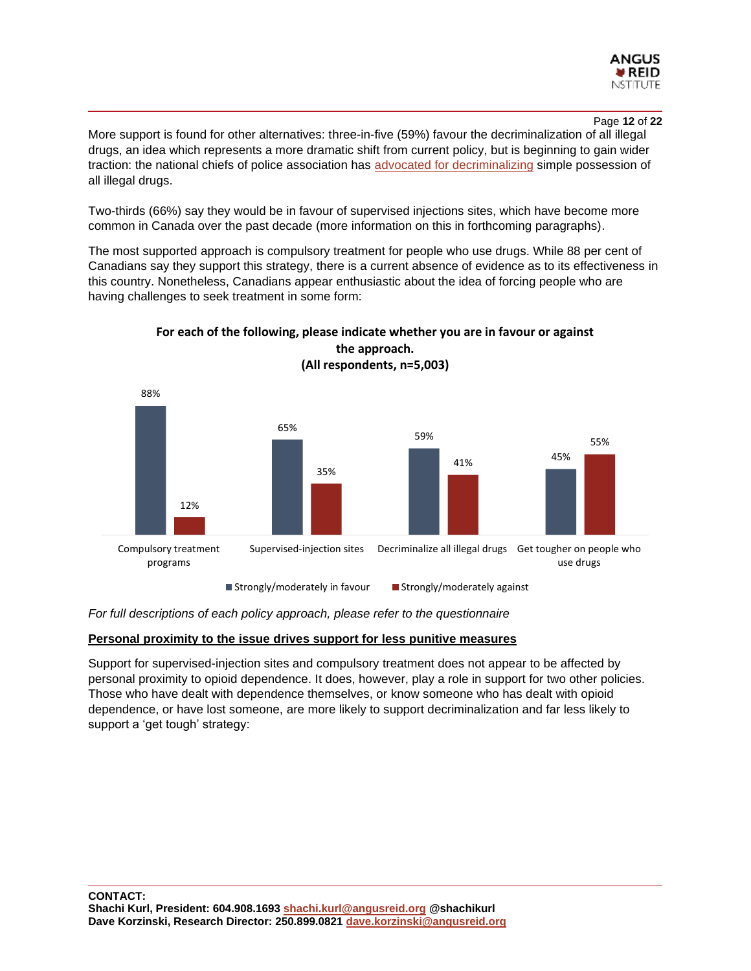

Page **12** of **22**

More support is found for other alternatives: three-in-five (59%) favour the decriminalization of all illegal drugs, an idea which represents a more dramatic shift from current policy, but is beginning to gain wider traction: the national chiefs of police association has advocated [for decriminalizing](https://www.ctvnews.ca/health/top-police-chief-urges-canada-to-decriminalize-hard-drug-possession-1.5286467) simple possession of all illegal drugs.

Two-thirds (66%) say they would be in favour of supervised injections sites, which have become more common in Canada over the past decade (more information on this in forthcoming paragraphs).

The most supported approach is compulsory treatment for people who use drugs. While 88 per cent of Canadians say they support this strategy, there is a current absence of evidence as to its effectiveness in this country. Nonetheless, Canadians appear enthusiastic about the idea of forcing people who are having challenges to seek treatment in some form:



**For each of the following, please indicate whether you are in favour or against the approach.**

*For full descriptions of each policy approach, please refer to the questionnaire*

#### **Personal proximity to the issue drives support for less punitive measures**

Support for supervised-injection sites and compulsory treatment does not appear to be affected by personal proximity to opioid dependence. It does, however, play a role in support for two other policies. Those who have dealt with dependence themselves, or know someone who has dealt with opioid dependence, or have lost someone, are more likely to support decriminalization and far less likely to support a 'get tough' strategy: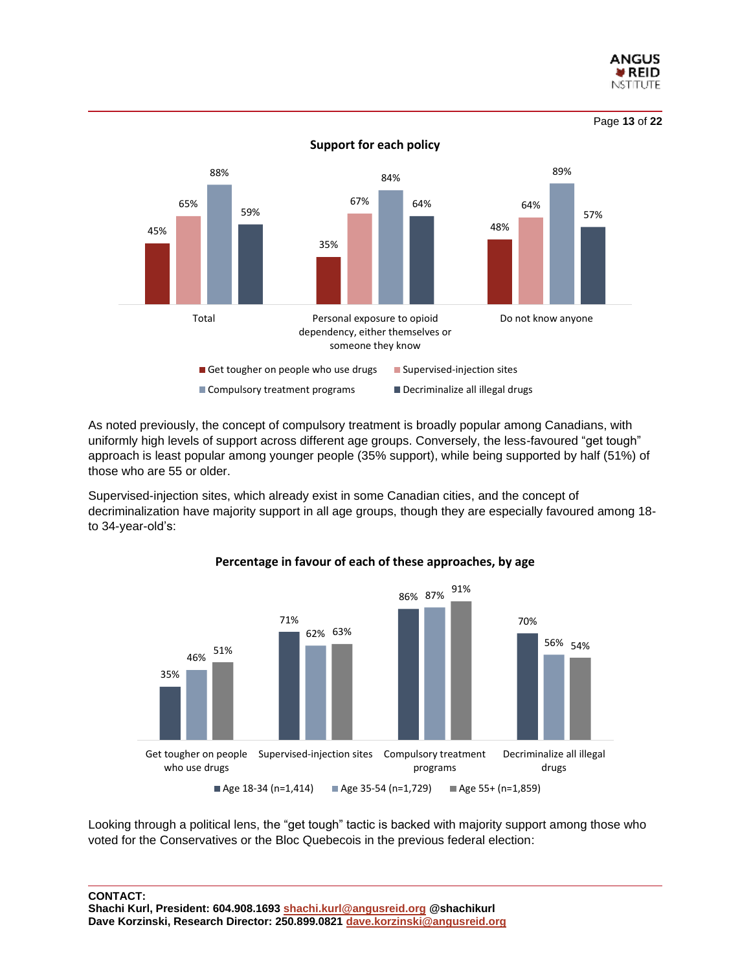



Page **13** of **22**

As noted previously, the concept of compulsory treatment is broadly popular among Canadians, with uniformly high levels of support across different age groups. Conversely, the less-favoured "get tough" approach is least popular among younger people (35% support), while being supported by half (51%) of those who are 55 or older.

Supervised-injection sites, which already exist in some Canadian cities, and the concept of decriminalization have majority support in all age groups, though they are especially favoured among 18 to 34-year-old's:



**Percentage in favour of each of these approaches, by age**

Looking through a political lens, the "get tough" tactic is backed with majority support among those who voted for the Conservatives or the Bloc Quebecois in the previous federal election: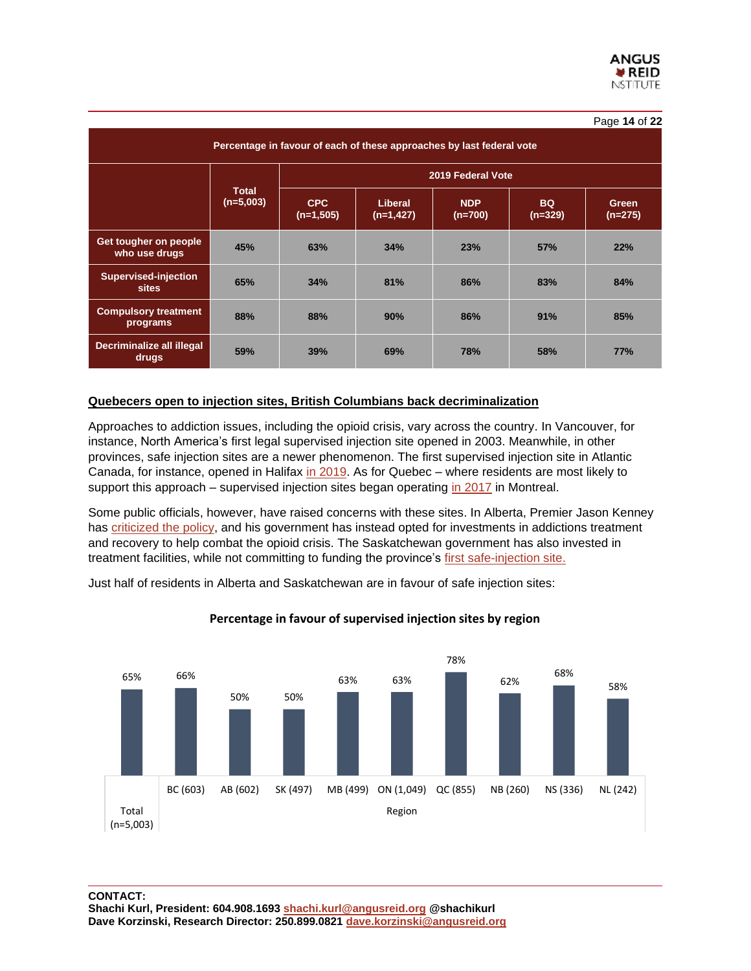Page **14** of **22**

|                                                                       |                             |                           |                         |                       |                        | Faye 14 OI ZZ    |  |
|-----------------------------------------------------------------------|-----------------------------|---------------------------|-------------------------|-----------------------|------------------------|------------------|--|
| Percentage in favour of each of these approaches by last federal vote |                             |                           |                         |                       |                        |                  |  |
|                                                                       |                             | 2019 Federal Vote         |                         |                       |                        |                  |  |
|                                                                       | <b>Total</b><br>$(n=5,003)$ | <b>CPC</b><br>$(n=1,505)$ | Liberal<br>$(n=1, 427)$ | <b>NDP</b><br>(n=700) | <b>BQ</b><br>$(n=329)$ | Green<br>(n=275) |  |
| Get tougher on people<br>who use drugs                                | 45%                         | 63%                       | 34%                     | 23%                   | 57%                    | 22%              |  |
| <b>Supervised-injection</b><br><b>sites</b>                           | 65%                         | 34%                       | 81%                     | 86%                   | 83%                    | 84%              |  |
| <b>Compulsory treatment</b><br>programs                               | 88%                         | 88%                       | 90%                     | 86%                   | 91%                    | 85%              |  |
| <b>Decriminalize all illegal</b><br>drugs                             | 59%                         | 39%                       | 69%                     | 78%                   | 58%                    | <b>77%</b>       |  |

#### **Quebecers open to injection sites, British Columbians back decriminalization**

Approaches to addiction issues, including the opioid crisis, vary across the country. In Vancouver, for instance, North America's first legal supervised injection site opened in 2003. Meanwhile, in other provinces, safe injection sites are a newer phenomenon. The first supervised injection site in Atlantic Canada, for instance, opened in Halifax [in 2019.](https://globalnews.ca/news/5510803/halifax-overdose-prevention-site-atlantic-canada/) As for Quebec – where residents are most likely to support this approach – supervised injection sites began operating [in 2017](https://globalnews.ca/news/3540159/supervised-injection-sites-open-in-montreal-one-of-them-is-mobile/) in Montreal.

Some public officials, however, have raised concerns with these sites. In Alberta, Premier Jason Kenney has [criticized the policy,](https://calgaryherald.com/news/local-news/kenney-criticizes-harm-reduction-while-announcing-new-addiction-recovery-communities) and his government has instead opted for investments in addictions treatment and recovery to help combat the opioid crisis. The Saskatchewan government has also invested in treatment facilities, while not committing to funding the province's [first safe-injection site.](https://www.aptnnews.ca/national-news/safe-injection-site-opens-in-saskatoon/)

Just half of residents in Alberta and Saskatchewan are in favour of safe injection sites:



#### **Percentage in favour of supervised injection sites by region**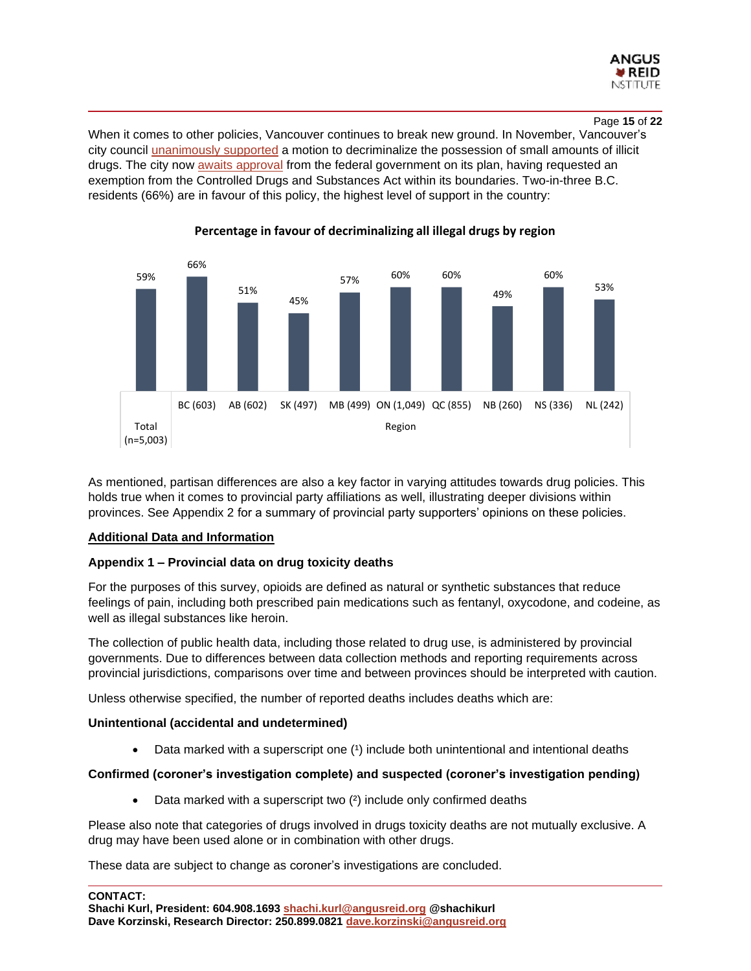

#### Page **15** of **22**

When it comes to other policies, Vancouver continues to break new ground. In November, Vancouver's city council [unanimously supported](https://vancouversun.com/news/local-news/vancouver-council-unanimously-supports-motion-to-decriminalize-drug-possession) a motion to decriminalize the possession of small amounts of illicit drugs. The city now [awaits approval](https://globalnews.ca/news/7485084/vancouver-decriminalization-overdose/) from the federal government on its plan, having requested an exemption from the Controlled Drugs and Substances Act within its boundaries. Two-in-three B.C. residents (66%) are in favour of this policy, the highest level of support in the country:



#### **Percentage in favour of decriminalizing all illegal drugs by region**

As mentioned, partisan differences are also a key factor in varying attitudes towards drug policies. This holds true when it comes to provincial party affiliations as well, illustrating deeper divisions within provinces. See Appendix 2 for a summary of provincial party supporters' opinions on these policies.

#### **Additional Data and Information**

#### **Appendix 1 – Provincial data on drug toxicity deaths**

For the purposes of this survey, opioids are defined as natural or synthetic substances that reduce feelings of pain, including both prescribed pain medications such as fentanyl, oxycodone, and codeine, as well as illegal substances like heroin.

The collection of public health data, including those related to drug use, is administered by provincial governments. Due to differences between data collection methods and reporting requirements across provincial jurisdictions, comparisons over time and between provinces should be interpreted with caution.

Unless otherwise specified, the number of reported deaths includes deaths which are:

#### **Unintentional (accidental and undetermined)**

• Data marked with a superscript one  $(1)$  include both unintentional and intentional deaths

#### **Confirmed (coroner's investigation complete) and suspected (coroner's investigation pending)**

• Data marked with a superscript two (²) include only confirmed deaths

Please also note that categories of drugs involved in drugs toxicity deaths are not mutually exclusive. A drug may have been used alone or in combination with other drugs.

These data are subject to change as coroner's investigations are concluded.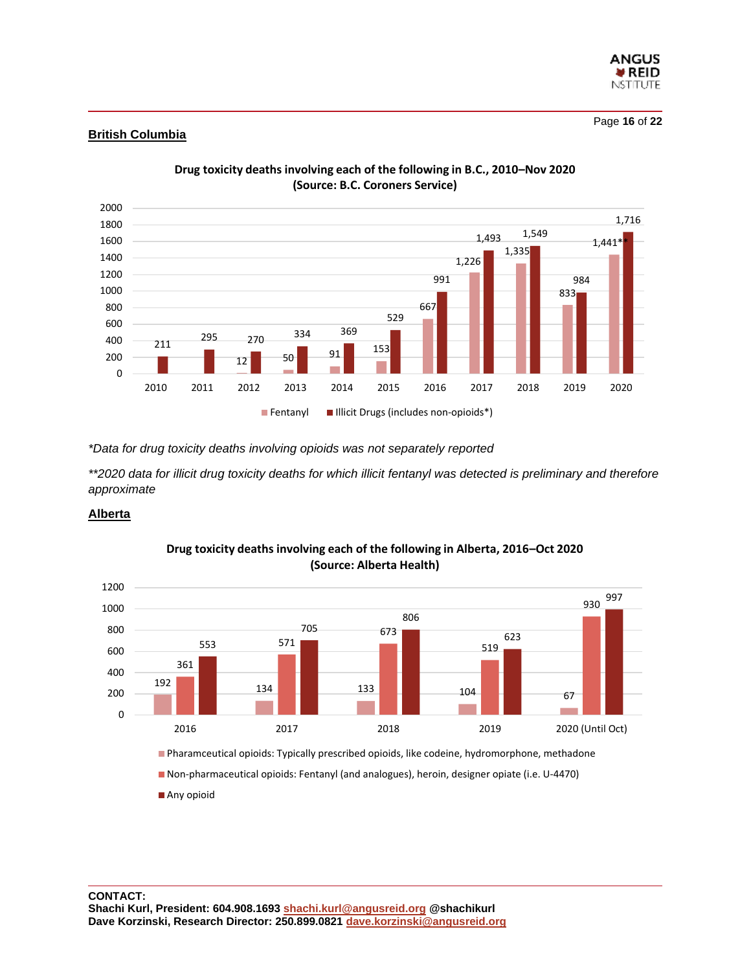

#### **British Columbia**



**Drug toxicity deaths involving each of the following in B.C., 2010–Nov 2020 (Source: B.C. Coroners Service)**

*\*Data for drug toxicity deaths involving opioids was not separately reported*

*\*\*2020 data for illicit drug toxicity deaths for which illicit fentanyl was detected is preliminary and therefore approximate*

#### **Alberta**



#### **Drug toxicity deaths involving each of the following in Alberta, 2016–Oct 2020 (Source: Alberta Health)**

Non-pharmaceutical opioids: Fentanyl (and analogues), heroin, designer opiate (i.e. U-4470)

Any opioid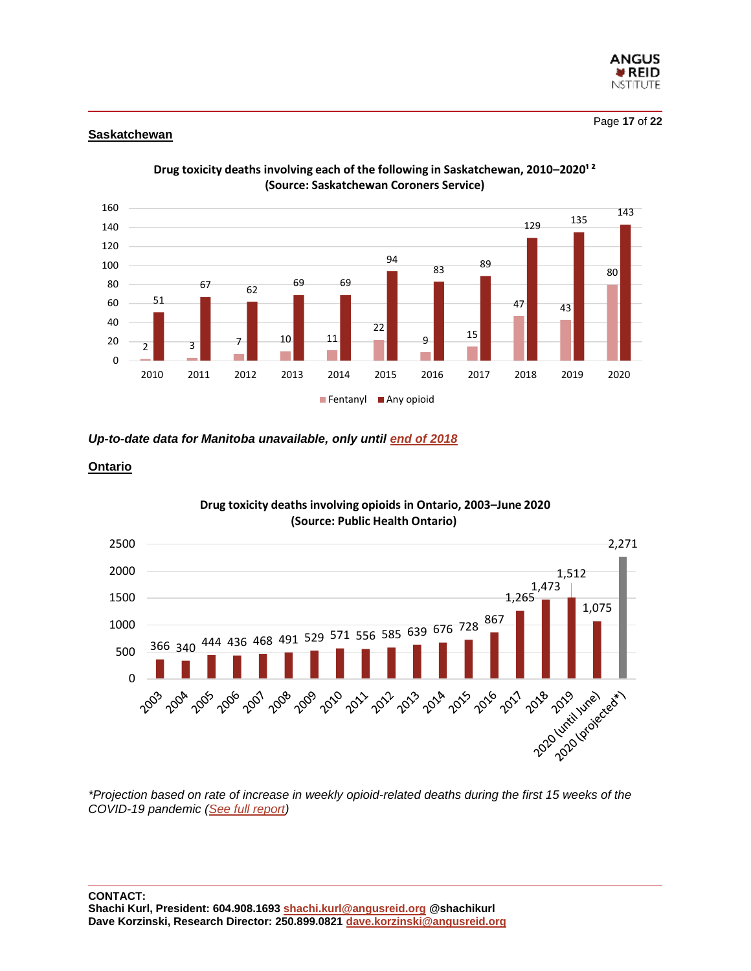

#### **Saskatchewan**



Drug toxicity deaths involving each of the following in Saskatchewan, 2010-2020<sup>12</sup> **(Source: Saskatchewan Coroners Service)**

#### *Up-to-date data for Manitoba unavailable, only until [end of 2018](https://www.gov.mb.ca/health/publichealth/surveillance/opioid.html)*

#### **Ontario**



**Drug toxicity deaths involving opioids in Ontario, 2003–June 2020**

*\*Projection based on rate of increase in weekly opioid-related deaths during the first 15 weeks of the COVID-19 pandemic [\(See full report\)](https://www.publichealthontario.ca/-/media/documents/o/2020/opioid-mortality-covid-surveillance-report.pdf?la=en)*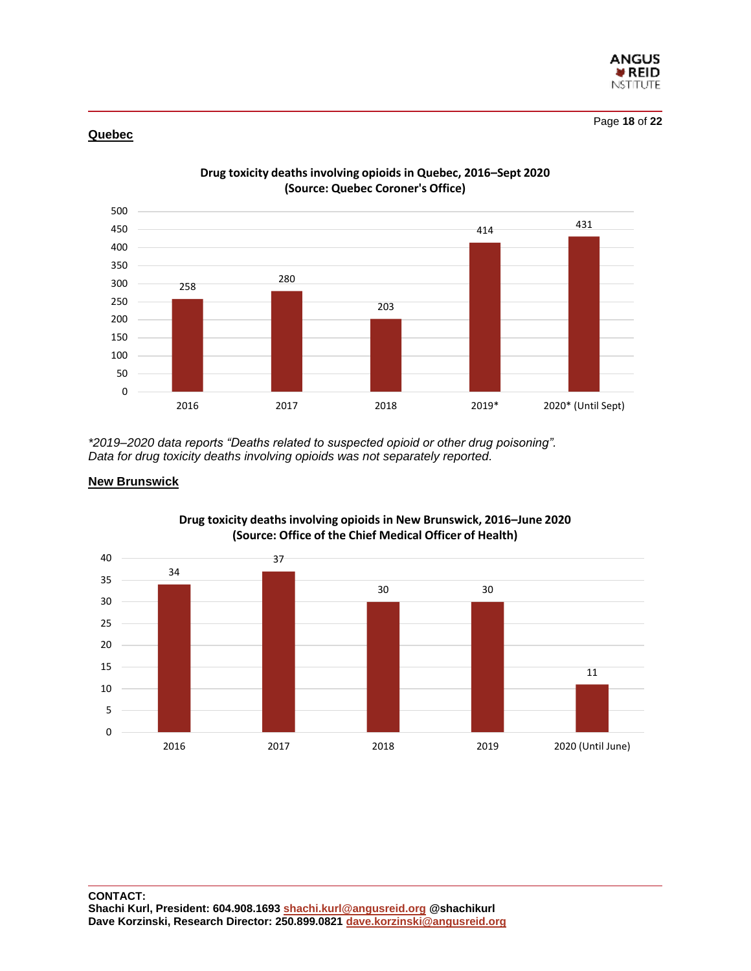

Page **18** of **22**

#### **Quebec**



**Drug toxicity deaths involving opioids in Quebec, 2016–Sept 2020 (Source: Quebec Coroner's Office)**

*\*2019–2020 data reports "Deaths related to suspected opioid or other drug poisoning". Data for drug toxicity deaths involving opioids was not separately reported.*

#### **New Brunswick**



#### **Drug toxicity deaths involving opioids in New Brunswick, 2016–June 2020 (Source: Office of the Chief Medical Officer of Health)**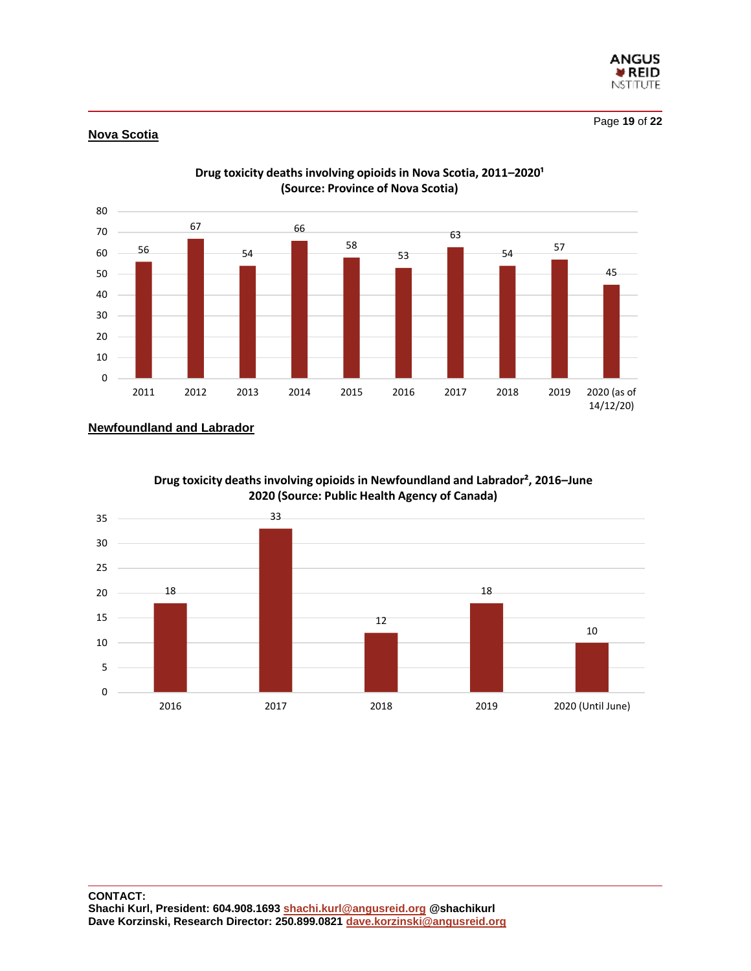

Page **19** of **22**

#### **Nova Scotia**



**Drug toxicity deaths involving opioids in Nova Scotia, 2011–2020¹ (Source: Province of Nova Scotia)**

**Newfoundland and Labrador**



**Drug toxicity deaths involving opioids in Newfoundland and Labrador², 2016–June 2020 (Source: Public Health Agency of Canada)**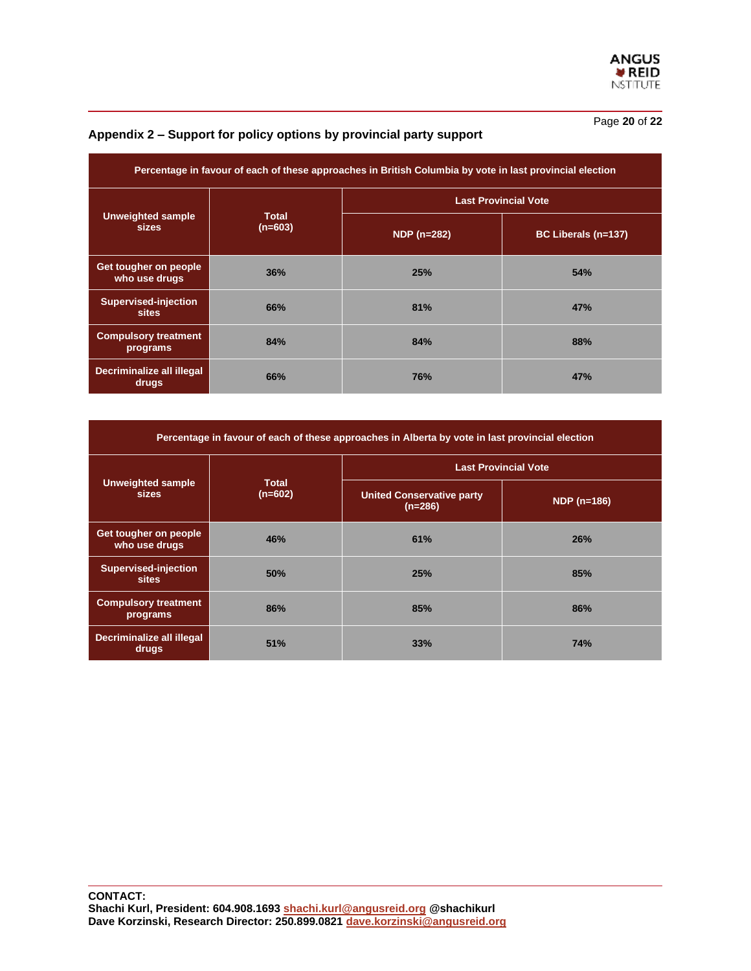Page **20** of **22**

| Percentage in favour of each of these approaches in British Columbia by vote in last provincial election |                           |                             |                     |  |  |  |  |
|----------------------------------------------------------------------------------------------------------|---------------------------|-----------------------------|---------------------|--|--|--|--|
| <b>Unweighted sample</b><br><b>sizes</b>                                                                 | <b>Total</b><br>$(n=603)$ | <b>Last Provincial Vote</b> |                     |  |  |  |  |
|                                                                                                          |                           | <b>NDP (n=282)</b>          | BC Liberals (n=137) |  |  |  |  |
| Get tougher on people<br>who use drugs                                                                   | 36%                       | 25%                         | 54%                 |  |  |  |  |
| <b>Supervised-injection</b><br><b>sites</b>                                                              | 66%                       | 81%                         | <b>47%</b>          |  |  |  |  |
| <b>Compulsory treatment</b><br>programs                                                                  | 84%                       | 84%                         | 88%                 |  |  |  |  |
| Decriminalize all illegal<br>drugs                                                                       | 66%                       | 76%                         | <b>47%</b>          |  |  |  |  |

### **Appendix 2 – Support for policy options by provincial party support**

| Percentage in favour of each of these approaches in Alberta by vote in last provincial election |                           |                                               |             |  |  |  |  |
|-------------------------------------------------------------------------------------------------|---------------------------|-----------------------------------------------|-------------|--|--|--|--|
| <b>Unweighted sample</b><br><b>sizes</b>                                                        |                           | <b>Last Provincial Vote</b>                   |             |  |  |  |  |
|                                                                                                 | <b>Total</b><br>$(n=602)$ | <b>United Conservative party</b><br>$(n=286)$ | NDP (n=186) |  |  |  |  |
| Get tougher on people<br>who use drugs                                                          | 46%                       | 61%                                           | 26%         |  |  |  |  |
| <b>Supervised-injection</b><br><b>sites</b>                                                     | 50%                       | 25%                                           | 85%         |  |  |  |  |
| <b>Compulsory treatment</b><br>programs                                                         | 86%                       | 85%                                           | 86%         |  |  |  |  |
| Decriminalize all illegal<br>drugs                                                              | 51%                       | 33%                                           | <b>74%</b>  |  |  |  |  |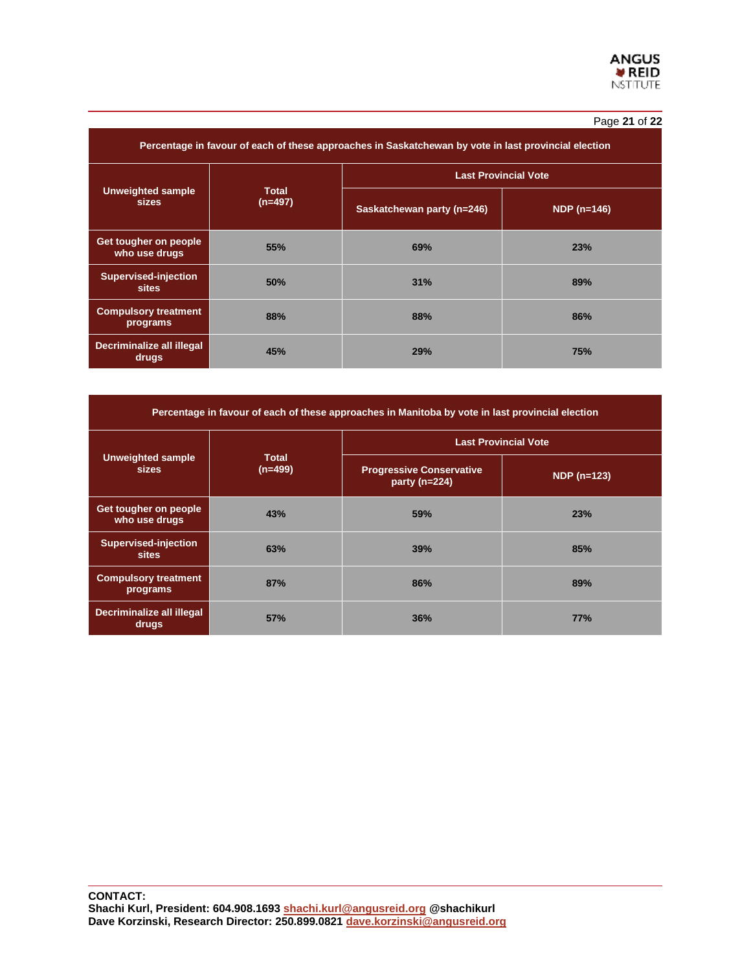| Percentage in favour of each of these approaches in Saskatchewan by vote in last provincial election |                           |                             |             |  |  |  |
|------------------------------------------------------------------------------------------------------|---------------------------|-----------------------------|-------------|--|--|--|
| <b>Unweighted sample</b><br><b>sizes</b>                                                             | <b>Total</b><br>$(n=497)$ | <b>Last Provincial Vote</b> |             |  |  |  |
|                                                                                                      |                           | Saskatchewan party (n=246)  | NDP (n=146) |  |  |  |
| Get tougher on people<br>who use drugs                                                               | 55%                       | 69%                         | 23%         |  |  |  |
| <b>Supervised-injection</b><br><b>sites</b>                                                          | 50%                       | 31%                         | 89%         |  |  |  |
| <b>Compulsory treatment</b><br>programs                                                              | 88%                       | 88%                         | 86%         |  |  |  |
| Decriminalize all illegal<br>drugs                                                                   | 45%                       | 29%                         | 75%         |  |  |  |

| Percentage in favour of each of these approaches in Manitoba by vote in last provincial election |                           |                                                    |                    |  |  |  |  |
|--------------------------------------------------------------------------------------------------|---------------------------|----------------------------------------------------|--------------------|--|--|--|--|
| <b>Unweighted sample</b><br><b>sizes</b>                                                         |                           | <b>Last Provincial Vote</b>                        |                    |  |  |  |  |
|                                                                                                  | <b>Total</b><br>$(n=499)$ | <b>Progressive Conservative</b><br>party $(n=224)$ | <b>NDP (n=123)</b> |  |  |  |  |
| Get tougher on people<br>who use drugs                                                           | 43%                       | 59%                                                | 23%                |  |  |  |  |
| <b>Supervised-injection</b><br><b>sites</b>                                                      | 63%                       | 39%                                                | 85%                |  |  |  |  |
| <b>Compulsory treatment</b><br>programs                                                          | 87%                       | 86%                                                | 89%                |  |  |  |  |
| Decriminalize all illegal<br>drugs                                                               | 57%                       | 36%                                                | <b>77%</b>         |  |  |  |  |